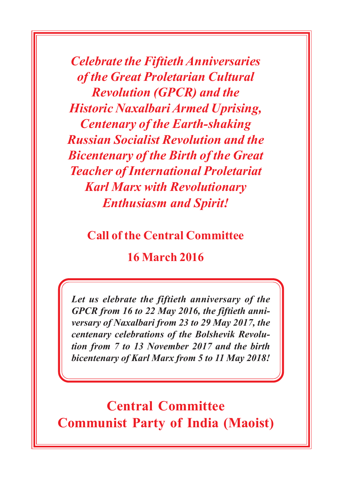*Celebrate the Fiftieth Anniversaries of the Great Proletarian Cultural Revolution (GPCR) and the Historic Naxalbari Armed Uprising, Centenary of the Earth-shaking Russian Socialist Revolution and the Bicentenary of the Birth of the Great Teacher of International Proletariat Karl Marx with Revolutionary Enthusiasm and Spirit!*

**Call of the Central Committee**

**16 March 2016**

*Let us elebrate the fiftieth anniversary of the GPCR from 16 to 22 May 2016, the fiftieth anniversary of Naxalbari from 23 to 29 May 2017, the centenary celebrations of the Bolshevik Revolution from 7 to 13 November 2017 and the birth bicentenary of Karl Marx from 5 to 11 May 2018!*

**Central Committee Communist Party of India (Maoist)**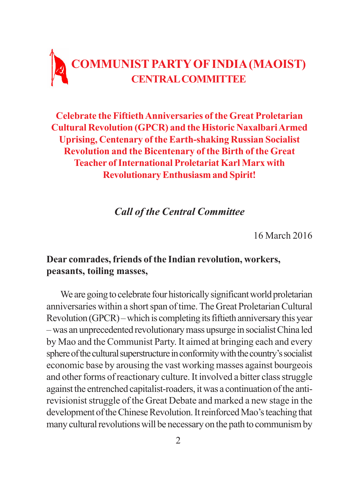## **COMMUNIST PARTY OF INDIA (MAOIST) CENTRAL COMMITTEE**

**Celebrate the Fiftieth Anniversaries of the Great Proletarian Cultural Revolution (GPCR) and the Historic Naxalbari Armed Uprising, Centenary of the Earth-shaking Russian Socialist Revolution and the Bicentenary of the Birth of the Great Teacher of International Proletariat Karl Marx with Revolutionary Enthusiasm and Spirit!**

*Call of the Central Committee*

16 March 2016

## **Dear comrades, friends of the Indian revolution, workers, peasants, toiling masses,**

We are going to celebrate four historically significant world proletarian anniversaries within a short span of time. The Great Proletarian Cultural Revolution (GPCR) – which is completing its fiftieth anniversary this year – was an unprecedented revolutionary mass upsurge in socialist China led by Mao and the Communist Party. It aimed at bringing each and every sphere of the cultural superstructure in conformity with the country's socialist economic base by arousing the vast working masses against bourgeois and other forms of reactionary culture. It involved a bitter class struggle against the entrenched capitalist-roaders, it was a continuation of the antirevisionist struggle of the Great Debate and marked a new stage in the development of the Chinese Revolution. It reinforced Mao's teaching that many cultural revolutions will be necessary on the path to communism by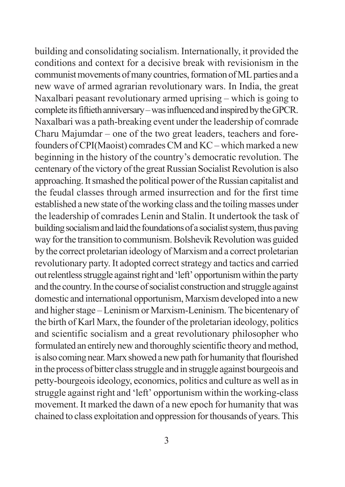building and consolidating socialism. Internationally, it provided the conditions and context for a decisive break with revisionism in the communist movements of many countries, formation of ML parties and a new wave of armed agrarian revolutionary wars. In India, the great Naxalbari peasant revolutionary armed uprising – which is going to complete its fiftieth anniversary – was influenced and inspired by the GPCR. Naxalbari was a path-breaking event under the leadership of comrade Charu Majumdar – one of the two great leaders, teachers and forefounders of CPI(Maoist) comrades CM and KC – which marked a new beginning in the history of the country's democratic revolution. The centenary of the victory of the great Russian Socialist Revolution is also approaching. It smashed the political power of the Russian capitalist and the feudal classes through armed insurrection and for the first time established a new state of the working class and the toiling masses under the leadership of comrades Lenin and Stalin. It undertook the task of building socialism and laid the foundations of a socialist system, thus paving way for the transition to communism. Bolshevik Revolution was guided by the correct proletarian ideology of Marxism and a correct proletarian revolutionary party. It adopted correct strategy and tactics and carried out relentless struggle against right and 'left' opportunism within the party and the country. In the course of socialist construction and struggle against domestic and international opportunism, Marxism developed into a new and higher stage – Leninism or Marxism-Leninism. The bicentenary of the birth of Karl Marx, the founder of the proletarian ideology, politics and scientific socialism and a great revolutionary philosopher who formulated an entirely new and thoroughly scientific theory and method, is also coming near. Marx showed a new path for humanity that flourished in the process of bitter class struggle and in struggle against bourgeois and petty-bourgeois ideology, economics, politics and culture as well as in struggle against right and 'left' opportunism within the working-class movement. It marked the dawn of a new epoch for humanity that was chained to class exploitation and oppression for thousands of years. This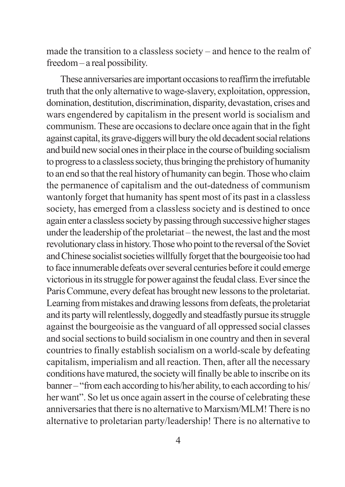made the transition to a classless society – and hence to the realm of freedom – a real possibility.

These anniversaries are important occasions to reaffirm the irrefutable truth that the only alternative to wage-slavery, exploitation, oppression, domination, destitution, discrimination, disparity, devastation, crises and wars engendered by capitalism in the present world is socialism and communism. These are occasions to declare once again that in the fight against capital, its grave-diggers will bury the old decadent social relations and build new social ones in their place in the course of building socialism to progress to a classless society, thus bringing the prehistory of humanity to an end so that the real history of humanity can begin. Those who claim the permanence of capitalism and the out-datedness of communism wantonly forget that humanity has spent most of its past in a classless society, has emerged from a classless society and is destined to once again enter a classless society by passing through successive higher stages under the leadership of the proletariat – the newest, the last and the most revolutionary class in history. Those who point to the reversal of the Soviet and Chinese socialist societies willfully forget that the bourgeoisie too had to face innumerable defeats over several centuries before it could emerge victorious in its struggle for power against the feudal class. Ever since the Paris Commune, every defeat has brought new lessons to the proletariat. Learning from mistakes and drawing lessons from defeats, the proletariat and its party will relentlessly, doggedly and steadfastly pursue its struggle against the bourgeoisie as the vanguard of all oppressed social classes and social sections to build socialism in one country and then in several countries to finally establish socialism on a world-scale by defeating capitalism, imperialism and all reaction. Then, after all the necessary conditions have matured, the society will finally be able to inscribe on its banner – "from each according to his/her ability, to each according to his/ her want". So let us once again assert in the course of celebrating these anniversaries that there is no alternative to Marxism/MLM! There is no alternative to proletarian party/leadership! There is no alternative to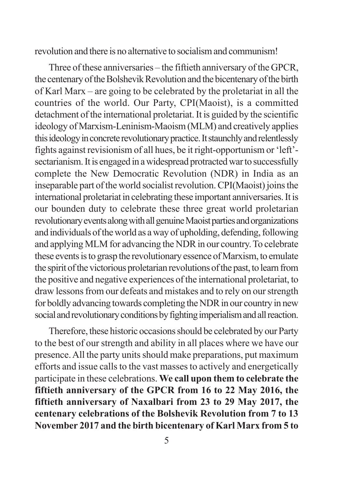revolution and there is no alternative to socialism and communism!

Three of these anniversaries – the fiftieth anniversary of the GPCR, the centenary of the Bolshevik Revolution and the bicentenary of the birth of Karl Marx – are going to be celebrated by the proletariat in all the countries of the world. Our Party, CPI(Maoist), is a committed detachment of the international proletariat. It is guided by the scientific ideology of Marxism-Leninism-Maoism (MLM) and creatively applies this ideology in concrete revolutionary practice. It staunchly and relentlessly fights against revisionism of all hues, be it right-opportunism or 'left' sectarianism. It is engaged in a widespread protracted war to successfully complete the New Democratic Revolution (NDR) in India as an inseparable part of the world socialist revolution. CPI(Maoist) joins the international proletariat in celebrating these important anniversaries. It is our bounden duty to celebrate these three great world proletarian revolutionary events along with all genuine Maoist parties and organizations and individuals of the world as a way of upholding, defending, following and applying MLM for advancing the NDR in our country. To celebrate these events is to grasp the revolutionary essence of Marxism, to emulate the spirit of the victorious proletarian revolutions of the past, to learn from the positive and negative experiences of the international proletariat, to draw lessons from our defeats and mistakes and to rely on our strength for boldly advancing towards completing the NDR in our country in new social and revolutionary conditions by fighting imperialism and all reaction.

Therefore, these historic occasions should be celebrated by our Party to the best of our strength and ability in all places where we have our presence. All the party units should make preparations, put maximum efforts and issue calls to the vast masses to actively and energetically participate in these celebrations. **We call upon them to celebrate the fiftieth anniversary of the GPCR from 16 to 22 May 2016, the fiftieth anniversary of Naxalbari from 23 to 29 May 2017, the centenary celebrations of the Bolshevik Revolution from 7 to 13 November 2017 and the birth bicentenary of Karl Marx from 5 to**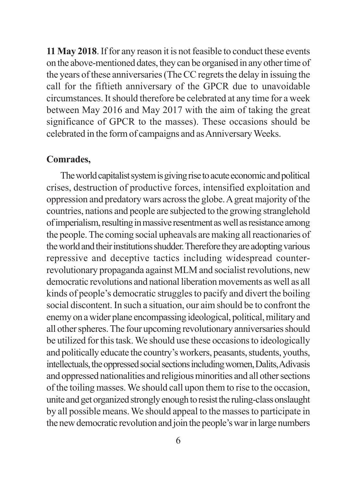**11 May 2018**. If for any reason it is not feasible to conduct these events on the above-mentioned dates, they can be organised in any other time of the years of these anniversaries (The CC regrets the delay in issuing the call for the fiftieth anniversary of the GPCR due to unavoidable circumstances. It should therefore be celebrated at any time for a week between May 2016 and May 2017 with the aim of taking the great significance of GPCR to the masses). These occasions should be celebrated in the form of campaigns and as Anniversary Weeks.

## **Comrades,**

The world capitalist system is giving rise to acute economic and political crises, destruction of productive forces, intensified exploitation and oppression and predatory wars across the globe. A great majority of the countries, nations and people are subjected to the growing stranglehold of imperialism, resulting in massive resentment as well as resistance among the people. The coming social upheavals are making all reactionaries of the world and their institutions shudder. Therefore they are adopting various repressive and deceptive tactics including widespread counterrevolutionary propaganda against MLM and socialist revolutions, new democratic revolutions and national liberation movements as well as all kinds of people's democratic struggles to pacify and divert the boiling social discontent. In such a situation, our aim should be to confront the enemy on a wider plane encompassing ideological, political, military and all other spheres. The four upcoming revolutionary anniversaries should be utilized for this task. We should use these occasions to ideologically and politically educate the country's workers, peasants, students, youths, intellectuals, the oppressed social sections including women, Dalits, Adivasis and oppressed nationalities and religious minorities and all other sections of the toiling masses. We should call upon them to rise to the occasion, unite and get organized strongly enough to resist the ruling-class onslaught by all possible means. We should appeal to the masses to participate in the new democratic revolution and join the people's war in large numbers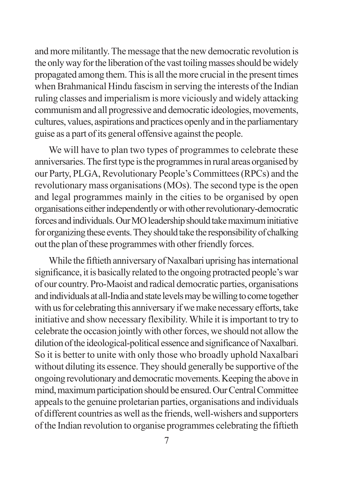and more militantly. The message that the new democratic revolution is the only way for the liberation of the vast toiling masses should be widely propagated among them. This is all the more crucial in the present times when Brahmanical Hindu fascism in serving the interests of the Indian ruling classes and imperialism is more viciously and widely attacking communism and all progressive and democratic ideologies, movements, cultures, values, aspirations and practices openly and in the parliamentary guise as a part of its general offensive against the people.

We will have to plan two types of programmes to celebrate these anniversaries. The first type is the programmes in rural areas organised by our Party, PLGA, Revolutionary People's Committees (RPCs) and the revolutionary mass organisations (MOs). The second type is the open and legal programmes mainly in the cities to be organised by open organisations either independently or with other revolutionary-democratic forces and individuals. Our MO leadership should take maximum initiative for organizing these events. They should take the responsibility of chalking out the plan of these programmes with other friendly forces.

While the fiftieth anniversary of Naxalbari uprising has international significance, it is basically related to the ongoing protracted people's war of our country. Pro-Maoist and radical democratic parties, organisations and individuals at all-India and state levels may be willing to come together with us for celebrating this anniversary if we make necessary efforts, take initiative and show necessary flexibility. While it is important to try to celebrate the occasion jointly with other forces, we should not allow the dilution of the ideological-political essence and significance of Naxalbari. So it is better to unite with only those who broadly uphold Naxalbari without diluting its essence. They should generally be supportive of the ongoing revolutionary and democratic movements. Keeping the above in mind, maximum participation should be ensured. Our Central Committee appeals to the genuine proletarian parties, organisations and individuals of different countries as well as the friends, well-wishers and supporters of the Indian revolution to organise programmes celebrating the fiftieth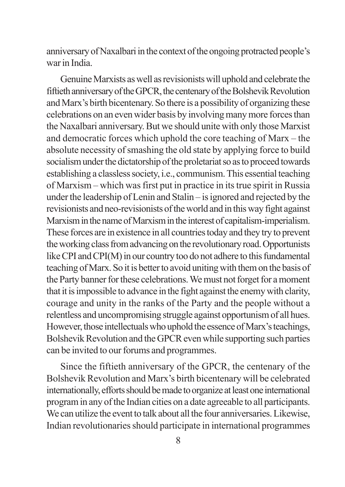anniversary of Naxalbari in the context of the ongoing protracted people's war in India.

Genuine Marxists as well as revisionists will uphold and celebrate the fiftieth anniversary of the GPCR, the centenary of the Bolshevik Revolution and Marx's birth bicentenary. So there is a possibility of organizing these celebrations on an even wider basis by involving many more forces than the Naxalbari anniversary. But we should unite with only those Marxist and democratic forces which uphold the core teaching of Marx – the absolute necessity of smashing the old state by applying force to build socialism under the dictatorship of the proletariat so as to proceed towards establishing a classless society, i.e., communism. This essential teaching of Marxism – which was first put in practice in its true spirit in Russia under the leadership of Lenin and Stalin – is ignored and rejected by the revisionists and neo-revisionists of the world and in this way fight against Marxism in the name of Marxism in the interest of capitalism-imperialism. These forces are in existence in all countries today and they try to prevent the working class from advancing on the revolutionary road. Opportunists like CPI and CPI(M) in our country too do not adhere to this fundamental teaching of Marx. So it is better to avoid uniting with them on the basis of the Party banner for these celebrations. We must not forget for a moment that it is impossible to advance in the fight against the enemy with clarity, courage and unity in the ranks of the Party and the people without a relentless and uncompromising struggle against opportunism of all hues. However, those intellectuals who uphold the essence of Marx's teachings, Bolshevik Revolution and the GPCR even while supporting such parties can be invited to our forums and programmes.

Since the fiftieth anniversary of the GPCR, the centenary of the Bolshevik Revolution and Marx's birth bicentenary will be celebrated internationally, efforts should be made to organize at least one international program in any of the Indian cities on a date agreeable to all participants. We can utilize the event to talk about all the four anniversaries. Likewise, Indian revolutionaries should participate in international programmes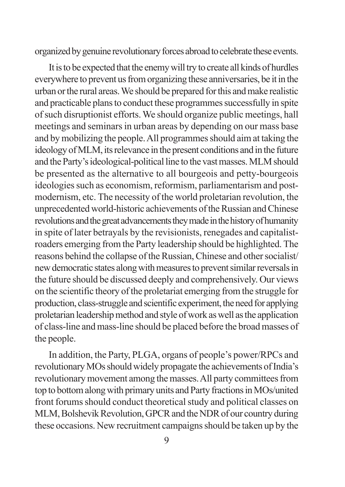organized by genuine revolutionary forces abroad to celebrate these events.

It is to be expected that the enemy will try to create all kinds of hurdles everywhere to prevent us from organizing these anniversaries, be it in the urban or the rural areas. We should be prepared for this and make realistic and practicable plans to conduct these programmes successfully in spite of such disruptionist efforts. We should organize public meetings, hall meetings and seminars in urban areas by depending on our mass base and by mobilizing the people. All programmes should aim at taking the ideology of MLM, its relevance in the present conditions and in the future and the Party's ideological-political line to the vast masses. MLM should be presented as the alternative to all bourgeois and petty-bourgeois ideologies such as economism, reformism, parliamentarism and postmodernism, etc. The necessity of the world proletarian revolution, the unprecedented world-historic achievements of the Russian and Chinese revolutions and the great advancements they made in the history of humanity in spite of later betrayals by the revisionists, renegades and capitalistroaders emerging from the Party leadership should be highlighted. The reasons behind the collapse of the Russian, Chinese and other socialist/ new democratic states along with measures to prevent similar reversals in the future should be discussed deeply and comprehensively. Our views on the scientific theory of the proletariat emerging from the struggle for production, class-struggle and scientific experiment, the need for applying proletarian leadership method and style of work as well as the application of class-line and mass-line should be placed before the broad masses of the people.

In addition, the Party, PLGA, organs of people's power/RPCs and revolutionary MOs should widely propagate the achievements of India's revolutionary movement among the masses. All party committees from top to bottom along with primary units and Party fractions in MOs/united front forums should conduct theoretical study and political classes on MLM, Bolshevik Revolution, GPCR and the NDR of our country during these occasions. New recruitment campaigns should be taken up by the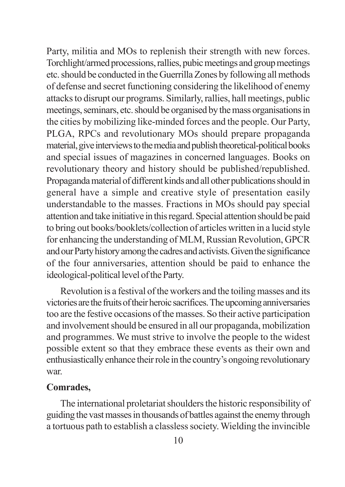Party, militia and MOs to replenish their strength with new forces. Torchlight/armed processions, rallies, pubic meetings and group meetings etc. should be conducted in the Guerrilla Zones by following all methods of defense and secret functioning considering the likelihood of enemy attacks to disrupt our programs. Similarly, rallies, hall meetings, public meetings, seminars, etc. should be organised by the mass organisations in the cities by mobilizing like-minded forces and the people. Our Party, PLGA, RPCs and revolutionary MOs should prepare propaganda material, give interviews to the media and publish theoretical-political books and special issues of magazines in concerned languages. Books on revolutionary theory and history should be published/republished. Propaganda material of different kinds and all other publications should in general have a simple and creative style of presentation easily understandable to the masses. Fractions in MOs should pay special attention and take initiative in this regard. Special attention should be paid to bring out books/booklets/collection of articles written in a lucid style for enhancing the understanding of MLM, Russian Revolution, GPCR and our Party history among the cadres and activists. Given the significance of the four anniversaries, attention should be paid to enhance the ideological-political level of the Party.

Revolution is a festival of the workers and the toiling masses and its victories are the fruits of their heroic sacrifices. The upcoming anniversaries too are the festive occasions of the masses. So their active participation and involvement should be ensured in all our propaganda, mobilization and programmes. We must strive to involve the people to the widest possible extent so that they embrace these events as their own and enthusiastically enhance their role in the country's ongoing revolutionary war.

## **Comrades,**

The international proletariat shoulders the historic responsibility of guiding the vast masses in thousands of battles against the enemy through a tortuous path to establish a classless society. Wielding the invincible